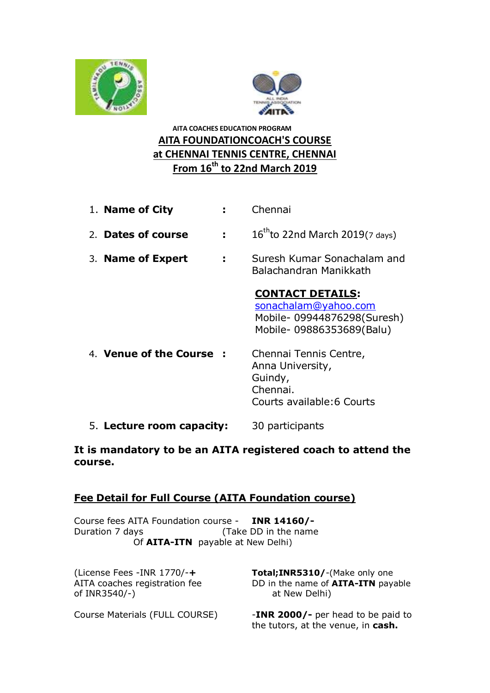



# **AITA COACHES EDUCATION PROGRAM AITA FOUNDATIONCOACH'S COURSE at CHENNAI TENNIS CENTRE, CHENNAI From 16th to 22nd March 2019**

- 1. **Name of City :** Chennai
- 2. **Dates of course :** 16  $16^{\text{th}}$ to 22nd March 2019(7 days)
- 3. **Name of Expert :** Suresh Kumar Sonachalam and Balachandran Manikkath

## **CONTACT DETAILS:**

[sonachalam@yahoo.com](mailto:sonachalam@yahoo.com) Mobile- 09944876298(Suresh) Mobile- 09886353689(Balu)

- 4. **Venue of the Course :** Chennai Tennis Centre, Anna University, Guindy, Chennai. Courts available:6 Courts
- 5. **Lecture room capacity:** 30 participants

### **It is mandatory to be an AITA registered coach to attend the course.**

### **Fee Detail for Full Course (AITA Foundation course)**

Course fees AITA Foundation course - **INR 14160/-** Duration 7 days (Take DD in the name Of **AITA-ITN** payable at New Delhi)

of INR3540/-) at New Delhi)

(License Fees -INR 1770/-**+ Total;INR5310/**-(Make only one AITA coaches registration fee DD in the name of **AITA-ITN** payable

Course Materials (FULL COURSE) -**INR 2000/-** per head to be paid to the tutors, at the venue, in **cash.**